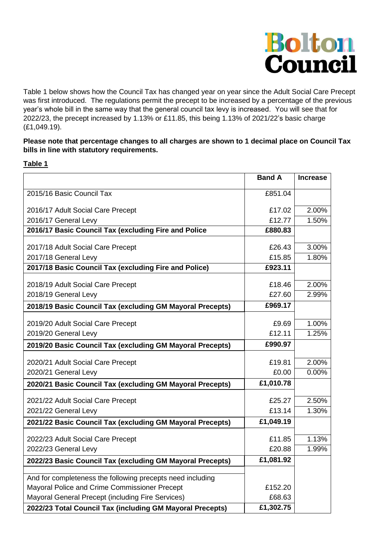

Table 1 below shows how the Council Tax has changed year on year since the Adult Social Care Precept was first introduced. The regulations permit the precept to be increased by a percentage of the previous year's whole bill in the same way that the general council tax levy is increased. You will see that for 2022/23, the precept increased by 1.13% or £11.85, this being 1.13% of 2021/22's basic charge (£1,049.19).

## **Please note that percentage changes to all charges are shown to 1 decimal place on Council Tax bills in line with statutory requirements.**

## **Table 1**

|                                                            | <b>Band A</b>    | <b>Increase</b> |
|------------------------------------------------------------|------------------|-----------------|
| 2015/16 Basic Council Tax                                  | £851.04          |                 |
| 2016/17 Adult Social Care Precept                          | £17.02           | 2.00%           |
| 2016/17 General Levy                                       | £12.77           | 1.50%           |
| 2016/17 Basic Council Tax (excluding Fire and Police       | £880.83          |                 |
| 2017/18 Adult Social Care Precept                          | £26.43           | 3.00%           |
| 2017/18 General Levy                                       | £15.85           | 1.80%           |
| 2017/18 Basic Council Tax (excluding Fire and Police)      | £923.11          |                 |
| 2018/19 Adult Social Care Precept                          | £18.46           | 2.00%           |
| 2018/19 General Levy                                       | £27.60           | 2.99%           |
| 2018/19 Basic Council Tax (excluding GM Mayoral Precepts)  | £969.17          |                 |
|                                                            |                  |                 |
| 2019/20 Adult Social Care Precept                          | £9.69            | 1.00%           |
| 2019/20 General Levy                                       | £12.11           | 1.25%           |
| 2019/20 Basic Council Tax (excluding GM Mayoral Precepts)  | £990.97          |                 |
| 2020/21 Adult Social Care Precept                          | £19.81           | 2.00%           |
| 2020/21 General Levy                                       | £0.00            | 0.00%           |
| 2020/21 Basic Council Tax (excluding GM Mayoral Precepts)  | £1,010.78        |                 |
| 2021/22 Adult Social Care Precept                          | £25.27           | 2.50%           |
| 2021/22 General Levy                                       | £13.14           | 1.30%           |
| 2021/22 Basic Council Tax (excluding GM Mayoral Precepts)  | £1,049.19        |                 |
|                                                            |                  |                 |
| 2022/23 Adult Social Care Precept                          | £11.85<br>£20.88 | 1.13%<br>1.99%  |
| 2022/23 General Levy                                       |                  |                 |
| 2022/23 Basic Council Tax (excluding GM Mayoral Precepts)  | £1,081.92        |                 |
| And for completeness the following precepts need including |                  |                 |
| Mayoral Police and Crime Commissioner Precept              | £152.20          |                 |
| Mayoral General Precept (including Fire Services)          | £68.63           |                 |
| 2022/23 Total Council Tax (including GM Mayoral Precepts)  | £1,302.75        |                 |